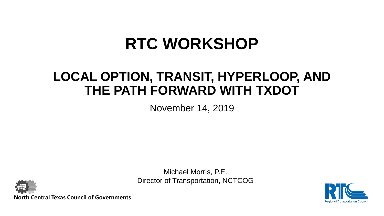## **RTC WORKSHOP**

### **LOCAL OPTION, TRANSIT, HYPERLOOP, AND THE PATH FORWARD WITH TXDOT**

November 14, 2019

Michael Morris, P.E. Director of Transportation, NCTCOG



**North Central Texas Council of Governments**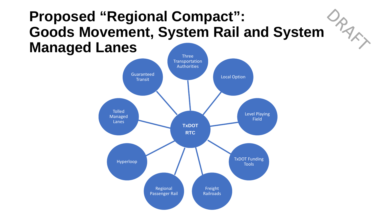### **Proposed "Regional Compact":**  RARX **Goods Movement, System Rail and System Managed Lanes**

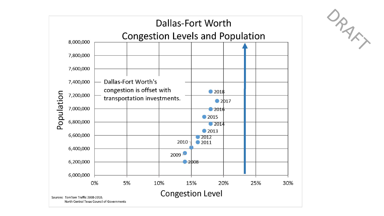

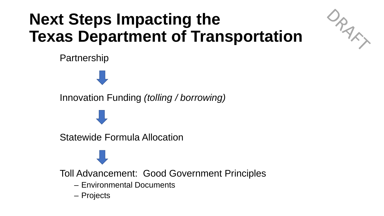# **Next Steps Impacting the Texas Department of Transportation**



Partnership

Innovation Funding *(tolling / borrowing)*

Statewide Formula Allocation

Toll Advancement: Good Government Principles

- Environmental Documents
- Projects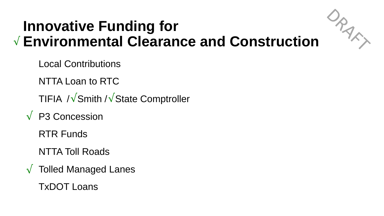## **Innovative Funding for Environmental Clearance and Construction** √

Local Contributions

NTTA Loan to RTC

TIFIA ⁄√Smith /√State Comptroller

P3 Concession √

RTR Funds

NTTA Toll Roads

 $\sqrt{\phantom{a}}$  Tolled Managed Lanes

TxDOT Loans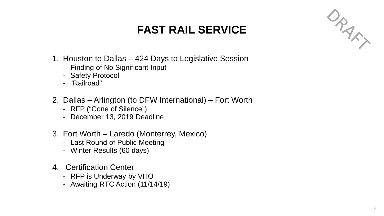### **FAST RAIL SERVICE**



- 1. Houston to Dallas 424 Days to Legislative Session
	- Finding of No Significant Input
	- Safety Protocol
	- "Railroad"
- 2. Dallas Arlington (to DFW International) Fort Worth
	- RFP ("Cone of Silence")
	- December 13, 2019 Deadline
- 3. Fort Worth Laredo (Monterrey, Mexico)
	- Last Round of Public Meeting
	- Winter Results (60 days)
- 4. Certification Center
	- RFP is Underway by VHO
	- Awaiting RTC Action (11/14/19)